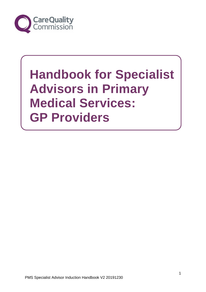

# **Handbook for Specialist Advisors in Primary Medical Services: GP Providers**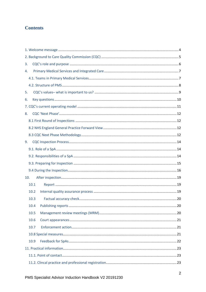# **Contents**

| 3.   |  |  |  |  |
|------|--|--|--|--|
| 4.   |  |  |  |  |
|      |  |  |  |  |
|      |  |  |  |  |
| 5.   |  |  |  |  |
| 6.   |  |  |  |  |
|      |  |  |  |  |
| 8.   |  |  |  |  |
|      |  |  |  |  |
|      |  |  |  |  |
|      |  |  |  |  |
| 9.   |  |  |  |  |
|      |  |  |  |  |
|      |  |  |  |  |
|      |  |  |  |  |
|      |  |  |  |  |
| 10.  |  |  |  |  |
| 10.1 |  |  |  |  |
| 10.2 |  |  |  |  |
| 10.3 |  |  |  |  |
| 10.4 |  |  |  |  |
| 10.5 |  |  |  |  |
| 10.6 |  |  |  |  |
| 10.7 |  |  |  |  |
|      |  |  |  |  |
| 10.9 |  |  |  |  |
|      |  |  |  |  |
|      |  |  |  |  |
|      |  |  |  |  |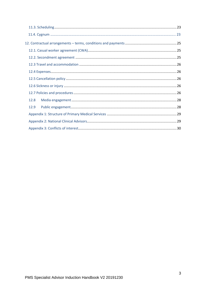| 12.8 |  |
|------|--|
| 12.9 |  |
|      |  |
|      |  |
|      |  |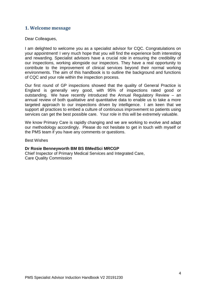## **1. Welcome message**

Dear Colleagues,

I am delighted to welcome you as a specialist advisor for CQC. Congratulations on your appointment! I very much hope that you will find the experience both interesting and rewarding. Specialist advisors have a crucial role in ensuring the credibility of our inspections, working alongside our inspectors. They have a real opportunity to contribute to the improvement of clinical services beyond their normal working environments. The aim of this handbook is to outline the background and functions of CQC and your role within the inspection process.

Our first round of GP inspections showed that the quality of General Practice is England is generally very good, with 95% of inspections rated good or outstanding. We have recently introduced the Annual Regulatory Review – an annual review of both qualitative and quantitative data to enable us to take a more targeted approach to our inspections driven by intelligence. I am keen that we support all practices to embed a culture of continuous improvement so patients using services can get the best possible care. Your role in this will be extremely valuable.

We know Primary Care is rapidly changing and we are working to evolve and adapt our methodology accordingly. Please do not hesitate to get in touch with myself or the PMS team if you have any comments or questions.

Best Wishes

#### **Dr Rosie Benneyworth BM BS BMedSci MRCGP**

Chief Inspector of Primary Medical Services and Integrated Care, Care Quality Commission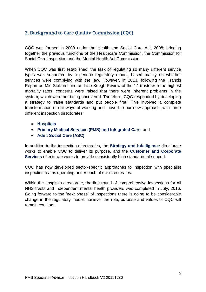# **2. Background to Care Quality Commission (CQC)**

CQC was formed in 2009 under the Health and Social Care Act, 2008; bringing together the previous functions of the Healthcare Commission, the Commission for Social Care Inspection and the Mental Health Act Commission.

When CQC was first established, the task of regulating so many different service types was supported by a generic regulatory model, based mainly on whether services were complying with the law. However, in 2013, following the Francis Report on Mid Staffordshire and the Keogh Review of the 14 trusts with the highest mortality rates, concerns were raised that there were inherent problems in the system, which were not being uncovered. Therefore, CQC responded by developing a strategy to 'raise standards and put people first.' This involved a complete transformation of our ways of working and moved to our new approach, with three different inspection directorates:

- **Hospitals**
- **Primary Medical Services (PMS) and Integrated Care**, and
- **Adult Social Care (ASC)**

In addition to the inspection directorates, the **Strategy and Intelligence** directorate works to enable CQC to deliver its purpose, and the **Customer and Corporate Services** directorate works to provide consistently high standards of support.

CQC has now developed sector-specific approaches to inspection with specialist inspection teams operating under each of our directorates.

Within the hospitals directorate, the first round of comprehensive inspections for all NHS trusts and independent mental health providers was completed in July, 2016. Going forward to the 'next phase' of inspections there is going to be considerable change in the regulatory model; however the role, purpose and values of CQC will remain constant.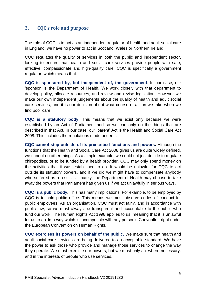## **3. CQC's role and purpose**

The role of CQC is to act as an independent regulator of health and adult social care in England; we have no power to act in Scotland, Wales or Northern Ireland.

CQC regulates the quality of services in both the public and independent sector, looking to ensure that health and social care services provide people with safe, effective, compassionate and high-quality care. CQC is specifically a government regulator, which means that:

**CQC is sponsored by, but independent of, the government**. In our case, our 'sponsor' is the Department of Health. We work closely with that department to develop policy, allocate resources, and review and revise legislation. However we make our own independent judgements about the quality of health and adult social care services, and it is our decision about what course of action we take when we find poor care.

**CQC is a statutory body**. This means that we exist only because we were established by an Act of Parliament and so we can only do the things that are described in that Act. In our case, our 'parent' Act is the Health and Social Care Act 2008. This includes the regulations made under it.

**CQC cannot step outside of its prescribed functions and powers.** Although the functions that the Health and Social Care Act 2008 gives us are quite widely defined, we cannot do other things. As a simple example, we could not just decide to regulate chiropodists, or to be funded by a health provider. CQC may only spend money on the activities that it was established to do. It would be unlawful for CQC to act outside its statutory powers, and if we did we might have to compensate anybody who suffered as a result. Ultimately, the Department of Health may choose to take away the powers that Parliament has given us if we act unlawfully in serious ways.

**CQC is a public body.** This has many implications. For example, to be employed by CQC is to hold public office. This means we must observe codes of conduct for public employees. As an organisation, CQC must act fairly, and in accordance with public law, so we must always be transparent and accountable to the public who fund our work. The Human Rights Act 1998 applies to us, meaning that it is unlawful for us to act in a way which is incompatible with any person's Convention right under the European Convention on Human Rights.

**CQC exercises its powers on behalf of the public.** We make sure that health and adult social care services are being delivered to an acceptable standard. We have the power to ask those who provide and manage those services to change the way they operate. We must exercise our powers, but we must only act where necessary, and in the interests of people who use services.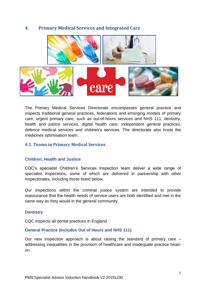## **4. Primary Medical Services and Integrated Care**



The Primary Medical Services Directorate encompasses general practice and inspects traditional general practices, federations and emerging models of primary care, urgent primary care, such as out-of-hours services and NHS 111, dentistry, health and justice services, digital health care, independent general practices, defence medical services and children's services. The directorate also hosts the medicines optimisation team.

## **4.1. Teams in Primary Medical Services**

## **Children, Health and Justice**

CQC's specialist Children's Services Inspection team deliver a wide range of specialist inspections, some of which are delivered in partnership with other inspectorates, including those listed below.

Our inspections within the criminal justice system are intended to provide reassurance that the health needs of service users are both identified and met in the same way as they would in the general community.

## **Dentistry**

CQC inspects all dental practices in England.

## **General Practice (includes Out of Hours and NHS 111)**

Our new inspection approach is about raising the standard of primary care – addressing inequalities in the provision of healthcare and inadequate practice headon.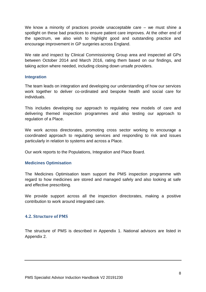We know a minority of practices provide unacceptable care – we must shine a spotlight on these bad practices to ensure patient care improves. At the other end of the spectrum, we also wish to highlight good and outstanding practice and encourage improvement in GP surgeries across England.

We rate and inspect by Clinical Commissioning Group area and inspected all GPs between October 2014 and March 2016, rating them based on our findings, and taking action where needed, including closing down unsafe providers.

## **Integration**

The team leads on integration and developing our understanding of how our services work together to deliver co-ordinated and bespoke health and social care for individuals.

This includes developing our approach to regulating new models of care and delivering themed inspection programmes and also testing our approach to regulation of a Place.

We work across directorates, promoting cross sector working to encourage a coordinated approach to regulating services and responding to risk and issues particularly in relation to systems and across a Place.

Our work reports to the Populations, Integration and Place Board.

## **Medicines Optimisation**

The Medicines Optimisation team support the PMS inspection programme with regard to how medicines are stored and managed safely and also looking at safe and effective prescribing.

We provide support across all the inspection directorates, making a positive contribution to work around integrated care.

## **4.2. Structure of PMS**

The structure of PMS is described in Appendix 1. National advisors are listed in Appendix 2.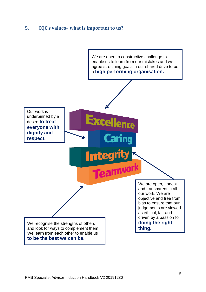# **5. CQC's values– what is important to us?**

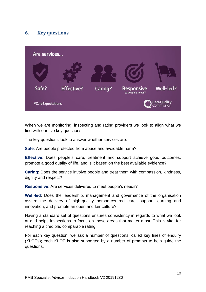# **6. Key questions**



When we are monitoring, inspecting and rating providers we look to align what we find with our five key questions.

The key questions look to answer whether services are:

**Safe**: Are people protected from abuse and avoidable harm?

**Effective**: Does people's care, treatment and support achieve good outcomes, promote a good quality of life, and is it based on the best available evidence?

**Caring**: Does the service involve people and treat them with compassion, kindness, dignity and respect?

**Responsive**: Are services delivered to meet people's needs?

**Well-led**: Does the leadership, management and governance of the organisation assure the delivery of high-quality person-centred care, support learning and innovation, and promote an open and fair culture?

Having a standard set of questions ensures consistency in regards to what we look at and helps inspections to focus on those areas that matter most. This is vital for reaching a credible, comparable rating.

For each key question, we ask a number of questions, called key lines of enquiry (KLOEs); each KLOE is also supported by a number of prompts to help guide the questions.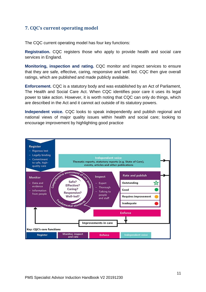# **7. CQC's current operating model**

The CQC current operating model has four key functions:

**Registration.** CQC registers those who apply to provide health and social care services in England.

**Monitoring, inspection and rating.** CQC monitor and inspect services to ensure that they are safe, effective, caring, responsive and well led. CQC then give overall ratings, which are published and made publicly available.

**Enforcement.** CQC is a statutory body and was established by an Act of Parliament, The Health and Social Care Act. When CQC identifies poor care it uses its legal power to take action. However, it is worth noting that CQC can only do things, which are described in the Act and it cannot act outside of its statutory powers.

**Independent voice.** CQC looks to speak independently and publish regional and national views of major quality issues within health and social care; looking to encourage improvement by highlighting good practice

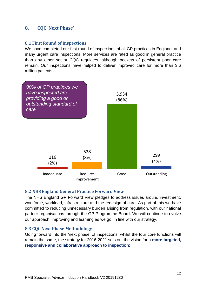## **8. CQC 'Next Phase'**

## **8.1 First Round of Inspections**

We have completed our first round of inspections of all GP practices in England; and many urgent care inspections. More services are rated as good in general practice than any other sector CQC regulates, although pockets of persistent poor care remain. Our inspections have helped to deliver improved care for more than 3.6 million patients.



## **8.2 NHS England General Practice Forward View**

The NHS England GP Forward View pledges to address issues around investment, workforce, workload, infrastructure and the redesign of care. As part of this we have committed to reducing unnecessary burden arising from regulation, with our national partner organisations through the GP Programme Board. We will continue to evolve our approach, improving and learning as we go, in line with our strategy..

## **8.3 CQC Next Phase Methodology**

Going forward into the 'next phase' of inspections, whilst the four core functions will remain the same, the strategy for 2016-2021 sets out the vision for a **more targeted, responsive and collaborative approach to inspection**: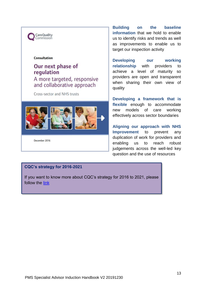

#### **Consultation**

# Our next phase of regulation A more targeted, responsive and collaborative approach

Cross-sector and NHS trusts



December 2016

**Building on the baseline information** that we hold to enable us to identify risks and trends as well as improvements to enable us to target our inspection activity

**Developing our working relationship** with providers to achieve a level of maturity so providers are open and transparent when sharing their own view of quality

**Developing a framework that is flexible** enough to accommodate new models of care working effectively across sector boundaries

**Aligning our approach with NHS Improvement** to prevent any duplication of work for providers and enabling us to reach robust judgements across the well-led key question and the use of resources

#### **CQC's strategy for 2016-2021**

If you want to know more about CQC's strategy for 2016 to 2021, please follow the [link](http://www.cqc.org.uk/content/our-strategy-2016-2021)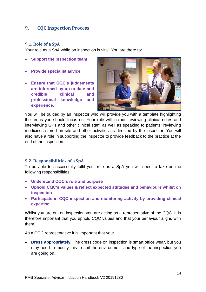## **9. CQC Inspection Process**

## **9.1. Role of a SpA**

Your role as a SpA while on inspection is vital. You are there to:

- **Support the inspection team**
- **Provide specialist advice**
- **Ensure that CQC's judgements are informed by up-to-date and credible clinical and professional knowledge and experience.**



You will be guided by an inspector who will provide you with a template highlighting the areas you should focus on. Your role will include reviewing clinical notes and interviewing GPs and other clinical staff, as well as speaking to patients, reviewing medicines stored on site and other activities as directed by the inspector. You will also have a role in supporting the inspector to provide feedback to the practice at the end of the inspection.

## **9.2. Responsibilities of a SpA**

To be able to successfully fulfil your role as a SpA you will need to take on the following responsibilities:

- **Understand CQC's role and purpose**
- **Uphold CQC's values & reflect expected attitudes and behaviours whilst on inspection**
- **Participate in CQC inspection and monitoring activity by providing clinical expertise.**

Whilst you are out on inspection you are acting as a representative of the CQC. It is therefore important that you uphold CQC values and that your behaviour aligns with them.

As a CQC representative it is important that you:

• **Dress appropriately.** The dress code on inspection is smart office wear, but you may need to modify this to suit the environment and type of the inspection you are going on.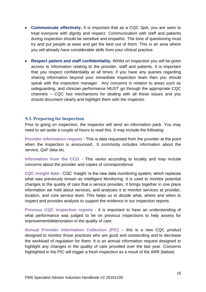- **Communicate effectively.** It is important that as a CQC SpA, you are seen to treat everyone with dignity and respect. Communication with staff and patients during inspection should be sensitive and empathic. The tone of questioning must try and put people at ease and get the best out of them. This is an area where you will already have considerable skills from your clinical practice.
- **Respect patient and staff confidentiality.** Whilst on inspection you will be given access to information relating to the provider, staff and patients. It is important that you respect confidentiality at all times; if you have any queries regarding sharing information beyond your immediate inspection team then you should speak with the inspection manager. Any concerns in relation to areas such as safeguarding, and clinician performance MUST go through the appropriate CQC channels – CQC has mechanisms for dealing with all these issues and you should document clearly and highlight them with the inspector.

#### **9.3. Preparing for Inspection**

Prior to going on inspection, the inspector will send an information pack. You may need to set aside a couple of hours to read this. It may include the following:

**Provider information request** - This is data requested from the provider at the point when the inspection is announced., It commonly includes information about the service, QoF data etc

**Information from the CCG -** This varies according to locality and may include concerns about the provider and copies of correspondence

**CQC Insight data** - CQC 'Insight 'is the new data monitoring system, which replaces what was previously known as Intelligent Monitoring. It is used to monitor potential changes to the quality of care that a service provides. It brings together in one place information we hold about services, and analyses it to monitor services at provider, location, and core service level. This helps us to decide what, where and when to inspect and provides analysis to support the evidence in our inspection reports.

**Previous CQC inspection reports** - It is important to have an understanding of what performance was judged to be on previous inspections to help assess for improvement/deterioration in the quality of care.

**Annual Provider Information Collection (PIC)** – this is a new CQC product designed to monitor those practices who are good and outstanding and to decrease the workload of regulation for them. It is an annual information request designed to highlight any changes in the quality of care provided over the last year. Concerns highlighted in the PIC will trigger a fresh inspection as a result of the ARR (below)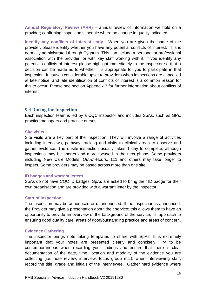**Annual Regulatory Review (ARR)** – annual review of information we hold on a provider; confirming inspection schedule where no change in quality indicated

**Identify any conflicts of interest early** - When you are given the name of the provider, please identify whether you have any potential conflicts of interest. This is normally administrated through Cygnum. This can include a personal or professional association with the provider, or with key staff working with it. If you identify any potential conflicts of interest please highlight immediately to the inspector so that a decision can be made as to whether if is appropriate for you to participate in that inspection. It causes considerable upset to providers when inspections are cancelled at late notice, and late identification of conflicts of interest is a common reason for this to occur. Please see section Appendix 3 for further information about conflicts of interest.

## **9.4 During the Inspection**

Each inspection team is led by a CQC inspector and includes SpAs, such as GPs, practice managers and practice nurses.

#### **Site visits**

Site visits are a key part of the inspection. They will involve a range of activities including interviews, pathway tracking and visits to clinical areas to observe and gather evidence. The onsite inspection usually takes 1 day to complete, although inspections may be shorter and more focused in the next phase. Some providers including New Care Models, Out-of-Hours, 111 and others may take longer to inspect. Some providers may be based across more than one site.

#### **ID badges and warrant letters**

SpAs do not have CQC ID badges. SpAs are asked to bring their ID badge for their own organisation and are provided with a warrant letter by the inspector.

#### **Start of inspection**

The inspection may be announced or unannounced. If the inspection is announced, the Provider may give a presentation about their service; this allows them to have an opportunity to provide an overview of the background of the service; its' approach to ensuring good quality care; areas of good/outstanding practice and areas of concern.

#### **Evidence Gathering**

The inspector brings note taking templates to share with SpAs. It is extremely important that your notes are presented clearly and concisely. Try to be contemporaneous when recording your findings and ensure that there is clear documentation of the date, time, location and modality of the evidence you are collecting (i.e. note review, interview, focus group etc.); when interviewing staff, record the title, grade and initials of the interviewee. Gather hard evidence where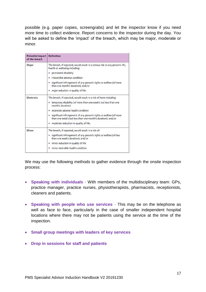possible (e.g. paper copies, screengrabs) and let the inspector know if you need more time to collect evidence. Report concerns to the inspector during the day. You will be asked to define the 'impact' of the breach, which may be major, moderate or minor.

| <b>Potential impact</b><br>of the breach | <b>Definition</b>                                                                                                                    |
|------------------------------------------|--------------------------------------------------------------------------------------------------------------------------------------|
| Major                                    | The breach, if repeated, would result in a serious risk to any person's life,<br>health or wellbeing including:                      |
|                                          | permanent disability<br>۰                                                                                                            |
|                                          | irreversible adverse condition                                                                                                       |
|                                          | • significant infringement of any person's rights or welfare (of more<br>than one month's duration); and/or                          |
|                                          | · major reduction in quality of life.                                                                                                |
| Moderate                                 | The breach, if repected, would result in a risk of harm including:                                                                   |
|                                          | temporary disability (of more than one week's but less than one<br>month's duration)                                                 |
|                                          | reversible adverse health condition                                                                                                  |
|                                          | · significant infringement of any person's rights or welfare (of more<br>than one week's but less than one month's duration): and/or |
|                                          | · moderate reduction in quality of life.                                                                                             |
| Minor                                    | The breach, if repeated, would result in a risk of:                                                                                  |
|                                          | · significant infringement of any person's rights or welfare (of less<br>than one week's duration): and/or                           |
|                                          | minor reduction in quality of life                                                                                                   |
|                                          | minor reversible health condition.                                                                                                   |

We may use the following methods to gather evidence through the onsite inspection process:

- **Speaking with individuals** With members of the multidisciplinary team: GPs, practice manager, practice nurses, physiotherapists, pharmacists, receptionists, cleaners and patients.
- **Speaking with people who use services** This may be on the telephone as well as face to face, particularly in the case of smaller independent hospital locations where there may not be patients using the service at the time of the inspection.
- **Small group meetings with leaders of key services**
- **Drop in sessions for staff and patients**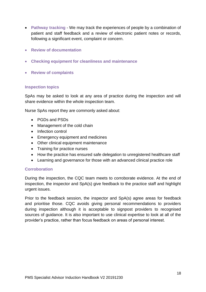- **Pathway tracking** We may track the experiences of people by a combination of patient and staff feedback and a review of electronic patient notes or records, following a significant event, complaint or concern.
- **Review of documentation**
- **Checking equipment for cleanliness and maintenance**
- **Review of complaints**

## **Inspection topics**

SpAs may be asked to look at any area of practice during the inspection and will share evidence within the whole inspection team.

Nurse SpAs report they are commonly asked about:

- PGDs and PSDs
- Management of the cold chain
- Infection control
- Emergency equipment and medicines
- Other clinical equipment maintenance
- Training for practice nurses
- How the practice has ensured safe delegation to unregistered healthcare staff
- Learning and governance for those with an advanced clinical practice role

## **Corroboration**

During the inspection, the CQC team meets to corroborate evidence. At the end of inspection, the inspector and SpA(s) give feedback to the practice staff and highlight urgent issues.

Prior to the feedback session, the inspector and SpA(s) agree areas for feedback and prioritise those. CQC avoids giving personal recommendations to providers during inspection although it is acceptable to signpost providers to recognised sources of guidance. It is also important to use clinical expertise to look at all of the provider's practice, rather than focus feedback on areas of personal interest.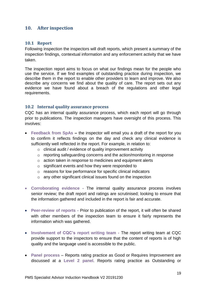## **10. After inspection**

## **10.1 Report**

Following inspection the inspectors will draft reports, which present a summary of the inspection findings, contextual information and any enforcement activity that we have taken.

The inspection report aims to focus on what our findings mean for the people who use the service. If we find examples of outstanding practice during inspection, we describe them in the report to enable other providers to learn and improve. We also describe any concerns we find about the quality of care. The report sets out any evidence we have found about a breach of the regulations and other legal requirements.

## **10.2 Internal quality assurance process**

CQC has an internal quality assurance process, which each report will go through prior to publications. The inspection managers have oversight of this process. This involves:

- **Feedback from SpAs –** the inspector will email you a draft of the report for you to confirm it reflects findings on the day and check any clinical evidence is sufficiently well reflected in the report. For example, in relation to:
	- o clinical audit / evidence of quality improvement activity
	- o reporting safeguarding concerns and the action/monitoring in response
	- o action taken in response to medicines and equipment alerts
	- o significant events and how they were responded to
	- o reasons for low performance for specific clinical indicators
	- o any other significant clinical issues found on the inspection
- **Corroborating evidence -** The internal quality assurance process involves senior review; the draft report and ratings are scrutinised; looking to ensure that the information gathered and included in the report is fair and accurate.
- **Peer-review of reports -** Prior to publication of the report, it will often be shared with other members of the inspection team to ensure it fairly represents the information which was gathered.
- **Involvement of CQC's report writing team -** The report writing team at CQC provide support to the inspectors to ensure that the content of reports is of high quality and the language used is accessible to the public.
- **Panel process** Reports rating practice as Good or Requires Improvement are discussed at a **Level 2 panel**. Reports rating practice as Outstanding or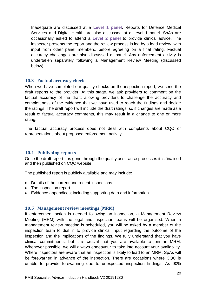Inadequate are discussed at a **Level 1 panel**. Reports for Defence Medical Services and Digital Health are also discussed at a Level 1 panel. SpAs are occasionally asked to attend a **Level 2 panel** to provide clinical advice. The inspector presents the report and the review process is led by a lead review, with input from other panel members, before agreeing on a final rating. Factual accuracy challenges are also discussed at panel. Any enforcement activity is undertaken separately following a Management Review Meeting (discussed below).

## **10.3 Factual accuracy check**

When we have completed our quality checks on the inspection report, we send the draft reports to the provider. At this stage, we ask providers to comment on the factual accuracy of the draft; allowing providers to challenge the accuracy and completeness of the evidence that we have used to reach the findings and decide the ratings. The draft report will include the draft ratings, so if changes are made as a result of factual accuracy comments, this may result in a change to one or more rating.

The factual accuracy process does not deal with complaints about CQC or representations about proposed enforcement activity.

## **10.4 Publishing reports**

Once the draft report has gone through the quality assurance processes it is finalised and then published on CQC website.

The published report is publicly available and may include:

- Details of the current and recent inspections
- The inspection report
- Evidence appendices; including supporting data and information

## **10.5 Management review meetings (MRM)**

If enforcement action is needed following an inspection, a Management Review Meeting (MRM) with the legal and inspection teams will be organised. When a management review meeting is scheduled, you will be asked by a member of the inspection team to dial in to provide clinical input regarding the outcome of the inspection and the implications of the findings. We fully understand that you have clinical commitments, but it is crucial that you are available to join an MRM. Whenever possible, we will always endeavour to take into account your availability. Where inspectors are aware that an inspection is likely to lead to an MRM, SpAs will be forewarned in advance of the inspection. There are occasions where CQC is unable to provide forewarning due to unexpected inspection findings. As 90%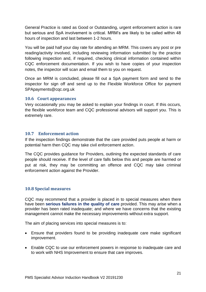General Practice is rated as Good or Outstanding, urgent enforcement action is rare but serious and SpA involvement is critical. MRM's are likely to be called within 48 hours of inspection and last between 1-2 hours.

You will be paid half your day rate for attending an MRM. This covers any post or pre reading/activity involved, including reviewing information submitted by the practice following inspection and, if required, checking clinical information contained within CQC enforcement documentation. If you wish to have copies of your inspection notes, the inspector will scan and email them to you on request.

Once an MRM is concluded, please fill out a SpA payment form and send to the inspector for sign off and send up to the Flexible Workforce Office for payment SPApayments@cqc.org.uk

## **10.6 Court appearances**

Very occasionally you may be asked to explain your findings in court. If this occurs, the flexible workforce team and CQC professional advisors will support you. This is extremely rare.

## **10.7 Enforcement action**

If the inspection findings demonstrate that the care provided puts people at harm or potential harm then CQC may take civil enforcement action.

The CQC provides guidance for Providers, outlining the expected standards of care people should receive. If the level of care falls below this and people are harmed or put at risk, they may be committing an offence and CQC may take criminal enforcement action against the Provider.

## **10.8 Special measures**

CQC may recommend that a provider is placed in to special measures when there have been **serious failures in the quality of care** provided. This may arise when a provider has been rated inadequate; and where we have concerns that the existing management cannot make the necessary improvements without extra support.

The aim of placing services into special measures is to:

- Ensure that providers found to be providing inadequate care make significant improvement.
- Enable CQC to use our enforcement powers in response to inadequate care and to work with NHS Improvement to ensure that care improves.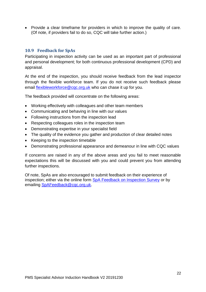• Provide a clear timeframe for providers in which to improve the quality of care. (Of note, if providers fail to do so, CQC will take further action.)

## **10.9 Feedback for SpAs**

Participating in inspection activity can be used as an important part of professional and personal development; for both continuous professional development (CPD) and appraisal.

At the end of the inspection, you should receive feedback from the lead inspector through the flexible workforce team. If you do not receive such feedback please email [flexibleworkforce@cqc.org.uk](mailto:flexibleworkforce@cqc.org.uk) who can chase it up for you.

The feedback provided will concentrate on the following areas:

- Working effectively with colleagues and other team members
- Communicating and behaving in line with our values
- Following instructions from the inspection lead
- Respecting colleagues roles in the inspection team
- Demonstrating expertise in your specialist field
- The quality of the evidence you gather and production of clear detailed notes
- Keeping to the inspection timetable
- Demonstrating professional appearance and demeanour in line with CQC values

If concerns are raised in any of the above areas and you fail to meet reasonable expectations this will be discussed with you and could prevent you from attending further inspections.

Of note, SpAs are also encouraged to submit feedback on their experience of inspection; either via the online form [SpA Feedback on Inspection Survey](https://webdataforms.cqc.org.uk/Checkbox/Survey.aspx?s=356e612f735b4bd29bb89377dcc763eb) or by emailing [SpAFeedback@cqc.org.uk.](mailto:SpAFeedback@cqc.org.uk)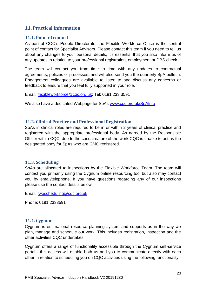## **11. Practical information**

## **11.1. Point of contact**

As part of CQC's People Directorate, the Flexible Workforce Office is the central point of contact for Specialist Advisors. Please contact this team if you need to tell us about any changes to your personal details, it's essential that you also inform us of any updates in relation to your professional registration, employment or DBS check.

The team will contact you from time to time with any updates to contractual agreements, policies or processes, and will also send you the quarterly SpA bulletin. Engagement colleagues are available to listen to and discuss any concerns or feedback to ensure that you feel fully supported in your role.

Email: [flexibleworkforce@cqc.org.uk;](mailto:flexibleworkforce@cqc.org.uk) Tel: 0191 233 3591

We also have a dedicated Webpage for SpAs [www.cqc.org.uk/SpAInfo](http://www.cqc.org.uk/SpAInfo)

## **11.2. Clinical Practice and Professional Registration**

SpAs in clinical roles are required to be in or within 2 years of clinical practice and registered with the appropriate professional body. As agreed by the Responsible Officer within CQC, due to the casual nature of the work CQC is unable to act as the designated body for SpAs who are GMC registered.

## **11.3. Scheduling**

SpAs are allocated to inspections by the Flexible Workforce Team. The team will contact you primarily using the Cygnum online resourcing tool but also may contact you by email/telephone. If you have questions regarding any of our inspections please use the contact details below:

Email: [fwoscheduling@cqc.org.uk](mailto:fwoscheduling@cqc.org.uk)

Phone: 0191 2333591

## **11.4. Cygnum**

Cygnum is our national resource planning system and supports us in the way we plan, manage and schedule our work. This includes registration, inspection and the other activities CQC undertakes.

Cygnum offers a range of functionality accessible through the Cygnum self-service portal - this access will enable both us and you to communicate directly with each other in relation to scheduling you on CQC activities using the following functionality: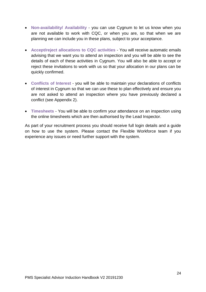- **Non-availability/ Availability** you can use Cygnum to let us know when you are not available to work with CQC, or when you are, so that when we are planning we can include you in these plans, subject to your acceptance.
- **Accept/reject allocations to CQC activities** You will receive automatic emails advising that we want you to attend an inspection and you will be able to see the details of each of these activities in Cygnum. You will also be able to accept or reject these invitations to work with us so that your allocation in our plans can be quickly confirmed.
- **Conflicts of Interest** you will be able to maintain your declarations of conflicts of interest in Cygnum so that we can use these to plan effectively and ensure you are not asked to attend an inspection where you have previously declared a conflict (see Appendix 2).
- **Timesheets** You will be able to confirm your attendance on an inspection using the online timesheets which are then authorised by the Lead Inspector.

As part of your recruitment process you should receive full login details and a guide on how to use the system. Please contact the Flexible Workforce team if you experience any issues or need further support with the system.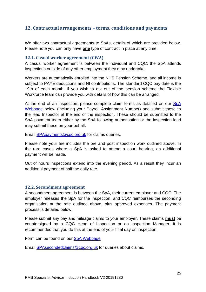## **12. Contractual arrangements – terms, conditions and payments**

We offer two contractual agreements to SpAs, details of which are provided below. Please note you can only have **one** type of contract in place at any time.

## **12.1. Casual worker agreement (CWA)**

A casual worker agreement is between the individual and CQC; the SpA attends inspections outside of any other employment they may undertake.

Workers are automatically enrolled into the NHS Pension Scheme, and all income is subject to PAYE deductions and NI contributions. The standard CQC pay date is the 19th of each month. If you wish to opt out of the pension scheme the Flexible Workforce team can provide you with details of how this can be arranged.

At the end of an inspection, please complete claim forms as detailed on our SpA [Webpage](http://www.cqc.org.uk/content/information-specialist-advisors) below (including your Payroll Assignment Number) and submit these to the lead Inspector at the end of the inspection. These should be submitted to the SpA payment team either by the SpA following authorisation or the inspection lead may submit these on your behalf.

Email **SPApayments@cqc.org.uk** for claims queries.

Please note your fee includes the pre and post inspection work outlined above. In the rare cases where a SpA is asked to attend a court hearing, an additional payment will be made.

Out of hours inspections extend into the evening period. As a result they incur an additional payment of half the daily rate.

## **12.2. Secondment agreement**

A secondment agreement is between the SpA, their current employer and CQC. The employer releases the SpA for the inspection, and CQC reimburses the seconding organisation at the rate outlined above, plus approved expenses. The payment process is detailed below.

Please submit any pay and mileage claims to your employer. These claims **must** be countersigned by a CQC Head of Inspection or an Inspection Manager; it is recommended that you do this at the end of your final day on inspection.

Form can be found on our **SpA Webpage** 

Email [SPAsecondedclaims@cqc.org.uk](mailto:SPAsecondedclaims@cqc.org.uk) for queries about claims.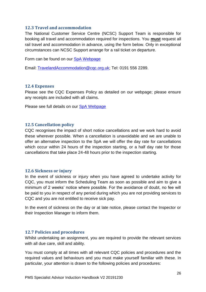## **12.3 Travel and accommodation**

The National Customer Service Centre (NCSC) Support Team is responsible for booking all travel and accommodation required for inspections. You **must** request all rail travel and accommodation in advance, using the form below. Only in exceptional circumstances can NCSC Support arrange for a rail ticket on departure.

Form can be found on our [SpA Webpage](http://www.cqc.org.uk/content/information-specialist-advisors)

Email: [TravelandAccommodation@cqc.org.uk;](mailto:TravelandAccommodation@cqc.org.uk) Tel: 0191 556 2289.

## **12.4 Expenses**

Please see the CQC Expenses Policy as detailed on our webpage; please ensure any receipts are included with all claims.

Please see full details on our [SpA Webpage](http://www.cqc.org.uk/SpAinfo)

## **12.5 Cancellation policy**

CQC recognises the impact of short notice cancellations and we work hard to avoid these wherever possible. When a cancellation is unavoidable and we are unable to offer an alternative inspection to the SpA we will offer the day rate for cancellations which occur within 24 hours of the inspection starting, or a half day rate for those cancellations that take place 24-48 hours prior to the inspection starting.

## **12.6 Sickness or injury**

In the event of sickness or injury when you have agreed to undertake activity for CQC, you must inform the Scheduling Team as soon as possible and aim to give a minimum of 2 weeks' notice where possible. For the avoidance of doubt, no fee will be paid to you in respect of any period during which you are not providing services to CQC and you are not entitled to receive sick pay.

In the event of sickness on the day or at late notice, please contact the Inspector or their Inspection Manager to inform them.

## **12.7 Policies and procedures**

Whilst undertaking an assignment, you are required to provide the relevant services with all due care, skill and ability.

You must comply at all times with all relevant CQC policies and procedures and the required values and behaviours and you must make yourself familiar with these. In particular, your attention is drawn to the following policies and procedures: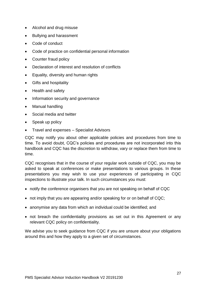- Alcohol and drug misuse
- Bullying and harassment
- Code of conduct
- Code of practice on confidential personal information
- Counter fraud policy
- Declaration of interest and resolution of conflicts
- Equality, diversity and human rights
- Gifts and hospitality
- Health and safety
- Information security and governance
- Manual handling
- Social media and twitter
- Speak up policy
- Travel and expenses Specialist Advisors

CQC may notify you about other applicable policies and procedures from time to time. To avoid doubt, CQC's policies and procedures are not incorporated into this handbook and CQC has the discretion to withdraw, vary or replace them from time to time.

CQC recognises that in the course of your regular work outside of CQC, you may be asked to speak at conferences or make presentations to various groups. In these presentations you may wish to use your experiences of participating in CQC inspections to illustrate your talk. In such circumstances you must:

- notify the conference organisers that you are not speaking on behalf of CQC
- not imply that you are appearing and/or speaking for or on behalf of CQC;
- anonymise any data from which an individual could be identified; and
- not breach the confidentiality provisions as set out in this Agreement or any relevant CQC policy on confidentiality.

We advise you to seek guidance from CQC if you are unsure about your obligations around this and how they apply to a given set of circumstances.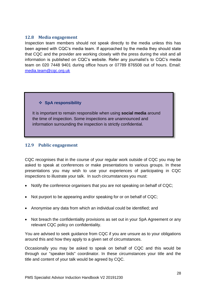## **12.8 Media engagement**

Inspection team members should not speak directly to the media unless this has been agreed with CQC's media team. If approached by the media they should state that CQC and the provider are working closely with the press during the visit and all information is published on CQC's website. Refer any journalist's to CQC's media team on 020 7448 9401 during office hours or 07789 876508 out of hours. Email: [media.team@cqc.org.uk](mailto:media.team@cqc.org.uk)

## ❖ **SpA responsibility**

It is important to remain responsible when using **social media** around the time of inspection. Some inspections are unannounced and information surrounding the inspection is strictly confidential.

## **12.9 Public engagement**

CQC recognises that in the course of your regular work outside of CQC you may be asked to speak at conferences or make presentations to various groups. In these presentations you may wish to use your experiences of participating in CQC inspections to illustrate your talk. In such circumstances you must:

- Notify the conference organisers that you are not speaking on behalf of CQC;
- Not purport to be appearing and/or speaking for or on behalf of CQC;
- Anonymise any data from which an individual could be identified; and
- Not breach the confidentiality provisions as set out in your SpA Agreement or any relevant CQC policy on confidentiality.

You are advised to seek guidance from CQC if you are unsure as to your obligations around this and how they apply to a given set of circumstances.

Occasionally you may be asked to speak on behalf of CQC and this would be through our "speaker bids" coordinator. In these circumstances your title and the title and content of your talk would be agreed by CQC.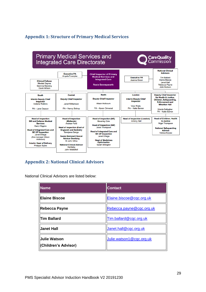# **Appendix 1: Structure of Primary Medical Services**



# **Appendix 2: National Clinical Advisors**

National Clinical Advisors are listed below:

| <b>Name</b>                                 | <b>Contact</b>           |
|---------------------------------------------|--------------------------|
| <b>Elaine Biscoe</b>                        | Elaine.biscoe@cqc.org.uk |
| Rebecca Payne                               | Rebecca.payne@cqc.org.uk |
| <b>Tim Ballard</b>                          | Tim.ballard@cqc.org.uk   |
| <b>Janet Hall</b>                           | Janet.hall@cqc.org.uk    |
| <b>Julie Watson</b><br>(Children's Advisor) | Julie.watson1@cqc.org.uk |